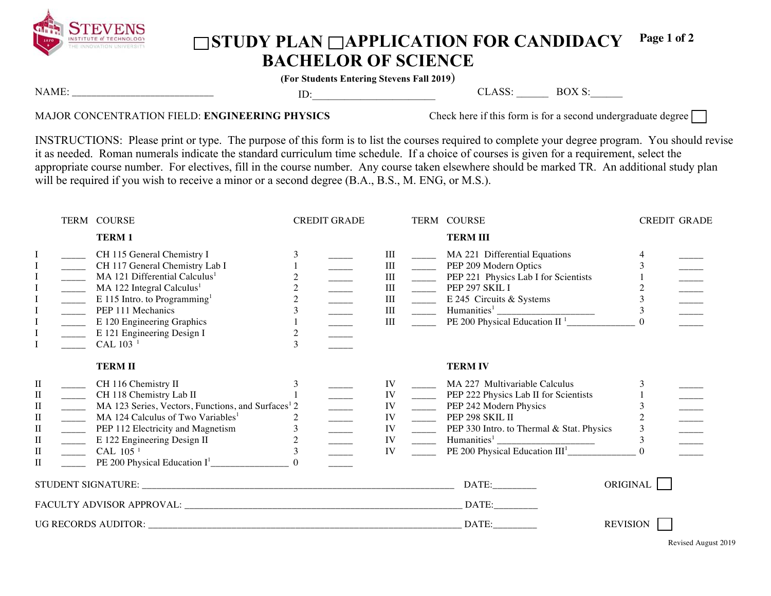

## ◯STUDY PLAN ◯APPLICATION FOR CANDIDACY **BACHELOR OF SCIENCE Page 1 of 2**

**(For Students Entering Stevens Fall 2019**)

| <b>NAME</b> |  | $\sim$ | $\lambda$<br>ĸ<br>$\overline{\phantom{a}}$ |
|-------------|--|--------|--------------------------------------------|
| 6 <u>.</u>  |  |        |                                            |
|             |  |        |                                            |

## MAJOR CONCENTRATION FIELD: **ENGINEERING PHYSICS** Check here if this form is for a second undergraduate degree

INSTRUCTIONS: Please print or type. The purpose of this form is to list the courses required to complete your degree program. You should revise it as needed. Roman numerals indicate the standard curriculum time schedule. If a choice of courses is given for a requirement, select the appropriate course number. For electives, fill in the course number. Any course taken elsewhere should be marked TR. An additional study plan will be required if you wish to receive a minor or a second degree (B.A., B.S., M. ENG, or M.S.).

|                                                                                           |                                                                                                                                                                                                                                                                                                                                                                                                                                                                                                                                                                                                                                                                                                                                                                                                                                                                                                                                                                   | TERM COURSE                                                                                                                                                                                                                                                                                               | <b>CREDIT GRADE</b> |                                                   |                                                 | TERM COURSE                                                                                                                                                                                                                                                 | <b>CREDIT GRADE</b> |  |
|-------------------------------------------------------------------------------------------|-------------------------------------------------------------------------------------------------------------------------------------------------------------------------------------------------------------------------------------------------------------------------------------------------------------------------------------------------------------------------------------------------------------------------------------------------------------------------------------------------------------------------------------------------------------------------------------------------------------------------------------------------------------------------------------------------------------------------------------------------------------------------------------------------------------------------------------------------------------------------------------------------------------------------------------------------------------------|-----------------------------------------------------------------------------------------------------------------------------------------------------------------------------------------------------------------------------------------------------------------------------------------------------------|---------------------|---------------------------------------------------|-------------------------------------------------|-------------------------------------------------------------------------------------------------------------------------------------------------------------------------------------------------------------------------------------------------------------|---------------------|--|
|                                                                                           |                                                                                                                                                                                                                                                                                                                                                                                                                                                                                                                                                                                                                                                                                                                                                                                                                                                                                                                                                                   | <b>TERM1</b>                                                                                                                                                                                                                                                                                              |                     |                                                   |                                                 | <b>TERM III</b>                                                                                                                                                                                                                                             |                     |  |
| $\mathbf I$<br>$\mathbf I$<br>$\mathbf I$                                                 | $\begin{tabular}{ c c c c } \hline \quad \quad & \quad \quad & \quad \quad \\ \hline \quad \quad & \quad \quad & \quad \quad \\ \hline \quad \quad & \quad \quad & \quad \quad \\ \hline \quad \quad & \quad \quad & \quad \quad \\ \hline \quad \quad & \quad \quad & \quad \quad \\ \hline \quad \quad & \quad \quad & \quad \quad \\ \hline \quad \quad & \quad \quad & \quad \quad \\ \hline \end{tabular}$<br>$\begin{tabular}{c} \multicolumn{1}{c}{\textbf{11}}\\ \multicolumn{1}{c}{\textbf{21}}\\ \multicolumn{1}{c}{\textbf{31}}\\ \multicolumn{1}{c}{\textbf{42}}\\ \multicolumn{1}{c}{\textbf{53}}\\ \multicolumn{1}{c}{\textbf{64}}\\ \multicolumn{1}{c}{\textbf{65}}\\ \multicolumn{1}{c}{\textbf{66}}\\ \multicolumn{1}{c}{\textbf{66}}\\ \multicolumn{1}{c}{\textbf{66}}\\ \multicolumn{1}{c}{\textbf{66}}\\ \multicolumn{1}{c}{\textbf{66}}\\ \multicolumn{1}{c$<br>$\frac{1}{\sqrt{1-\frac{1}{2}}}\left( \frac{1}{\sqrt{1-\frac{1}{2}}}\right)$ | CH 115 General Chemistry I<br>CH 117 General Chemistry Lab I<br>MA 121 Differential Calculus <sup>1</sup><br>$MA$ 122 Integral Calculus <sup>1</sup><br>E 115 Intro. to Programming <sup>1</sup><br>PEP 111 Mechanics<br>E 120 Engineering Graphics<br>E 121 Engineering Design I<br>CAL 103 <sup>1</sup> | $\overline{c}$<br>3 | Ш<br>III<br>III<br>III<br>$\rm III$<br>III<br>III | $\overline{\phantom{a}}$<br>$\frac{1}{2}$       | MA 221 Differential Equations<br>PEP 209 Modern Optics<br>PEP 221 Physics Lab I for Scientists<br>PEP 297 SKIL I<br>E 245 Circuits & Systems<br>$\frac{1}{2}$ Humanities <sup>1</sup> $\frac{1}{2}$ PE 200 Physical Education II <sup>1</sup> $\frac{1}{2}$ | 3                   |  |
|                                                                                           |                                                                                                                                                                                                                                                                                                                                                                                                                                                                                                                                                                                                                                                                                                                                                                                                                                                                                                                                                                   | <b>TERMII</b>                                                                                                                                                                                                                                                                                             |                     |                                                   |                                                 | <b>TERM IV</b>                                                                                                                                                                                                                                              |                     |  |
| $\mathbf{I}$<br>П<br>$\rm II$<br>$\rm _{II}$<br>П<br>$\rm II$<br>$\rm II$<br>$\mathbf{I}$ | $\mathcal{L}(\mathcal{L})$<br>$\frac{1}{1}$<br>$\overline{\phantom{a}}$<br>$\overline{\phantom{a}}$<br>$\overline{\phantom{a}}$                                                                                                                                                                                                                                                                                                                                                                                                                                                                                                                                                                                                                                                                                                                                                                                                                                   | CH 116 Chemistry II<br>CH 118 Chemistry Lab II<br>MA 123 Series, Vectors, Functions, and Surfaces <sup>1</sup> 2<br>MA 124 Calculus of Two Variables <sup>1</sup><br>PEP 112 Electricity and Magnetism<br>E 122 Engineering Design II<br>CAL 105 <sup>1</sup>                                             | 2<br>$\mathfrak{Z}$ | IV<br>IV<br>IV<br>IV<br>IV<br>IV<br>IV            | $\frac{1}{2}$<br>$\frac{1}{2}$<br>$\frac{1}{2}$ | MA 227 Multivariable Calculus<br>PEP 222 Physics Lab II for Scientists<br>_______ PEP 242 Modern Physics<br>PEP 298 SKIL II<br>PEP 330 Intro. to Thermal & Stat. Physics                                                                                    | 3<br>3              |  |
|                                                                                           |                                                                                                                                                                                                                                                                                                                                                                                                                                                                                                                                                                                                                                                                                                                                                                                                                                                                                                                                                                   |                                                                                                                                                                                                                                                                                                           |                     |                                                   |                                                 | DATE:                                                                                                                                                                                                                                                       | ORIGINAL            |  |
|                                                                                           |                                                                                                                                                                                                                                                                                                                                                                                                                                                                                                                                                                                                                                                                                                                                                                                                                                                                                                                                                                   |                                                                                                                                                                                                                                                                                                           |                     |                                                   |                                                 | DATE:                                                                                                                                                                                                                                                       |                     |  |
|                                                                                           |                                                                                                                                                                                                                                                                                                                                                                                                                                                                                                                                                                                                                                                                                                                                                                                                                                                                                                                                                                   |                                                                                                                                                                                                                                                                                                           |                     |                                                   |                                                 | DATE:                                                                                                                                                                                                                                                       | <b>REVISION</b>     |  |